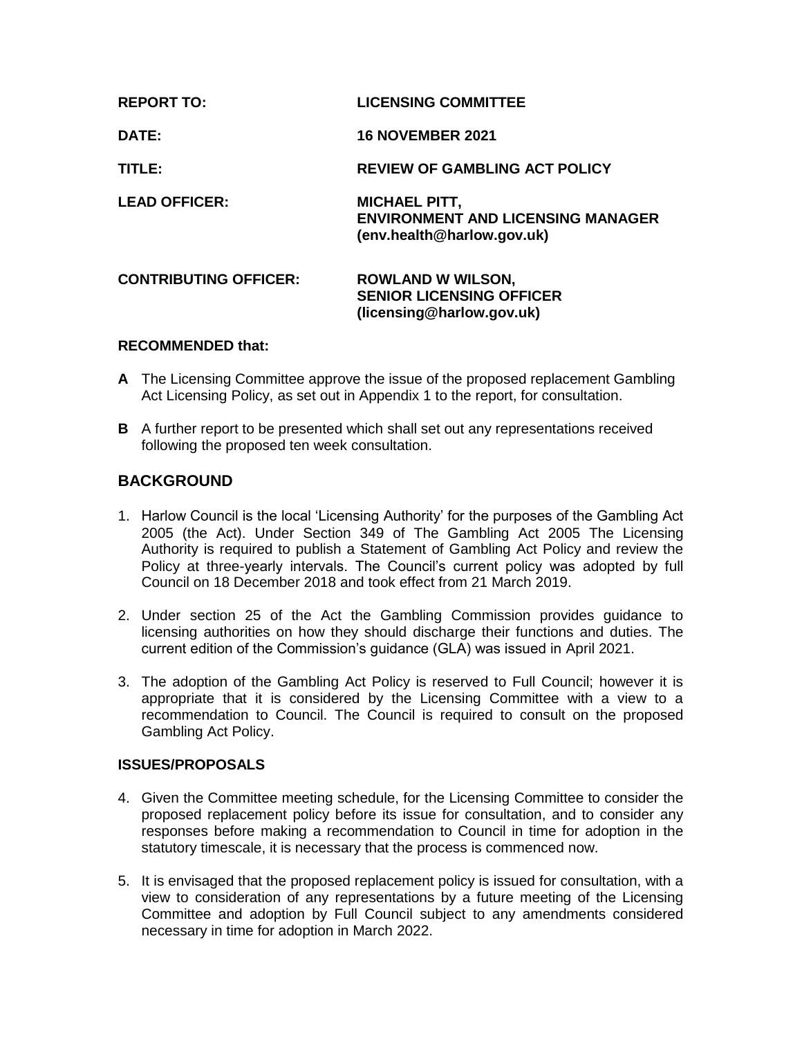| <b>REPORT TO:</b>            | <b>LICENSING COMMITTEE</b>                                                                     |
|------------------------------|------------------------------------------------------------------------------------------------|
| DATE:                        | <b>16 NOVEMBER 2021</b>                                                                        |
| TITLE:                       | <b>REVIEW OF GAMBLING ACT POLICY</b>                                                           |
| <b>LEAD OFFICER:</b>         | <b>MICHAEL PITT,</b><br><b>ENVIRONMENT AND LICENSING MANAGER</b><br>(env.health@harlow.gov.uk) |
| <b>CONTRIBUTING OFFICER:</b> | <b>ROWLAND W WILSON,</b><br><b>SENIOR LICENSING OFFICER</b><br>(licensing@harlow.gov.uk)       |

## **RECOMMENDED that:**

- **A** The Licensing Committee approve the issue of the proposed replacement Gambling Act Licensing Policy, as set out in Appendix 1 to the report, for consultation.
- **B** A further report to be presented which shall set out any representations received following the proposed ten week consultation.

# **BACKGROUND**

- 1. Harlow Council is the local 'Licensing Authority' for the purposes of the Gambling Act 2005 (the Act). Under Section 349 of The Gambling Act 2005 The Licensing Authority is required to publish a Statement of Gambling Act Policy and review the Policy at three-yearly intervals. The Council's current policy was adopted by full Council on 18 December 2018 and took effect from 21 March 2019.
- 2. Under section 25 of the Act the Gambling Commission provides guidance to licensing authorities on how they should discharge their functions and duties. The current edition of the Commission's guidance (GLA) was issued in April 2021.
- 3. The adoption of the Gambling Act Policy is reserved to Full Council; however it is appropriate that it is considered by the Licensing Committee with a view to a recommendation to Council. The Council is required to consult on the proposed Gambling Act Policy.

# **ISSUES/PROPOSALS**

- 4. Given the Committee meeting schedule, for the Licensing Committee to consider the proposed replacement policy before its issue for consultation, and to consider any responses before making a recommendation to Council in time for adoption in the statutory timescale, it is necessary that the process is commenced now.
- 5. It is envisaged that the proposed replacement policy is issued for consultation, with a view to consideration of any representations by a future meeting of the Licensing Committee and adoption by Full Council subject to any amendments considered necessary in time for adoption in March 2022.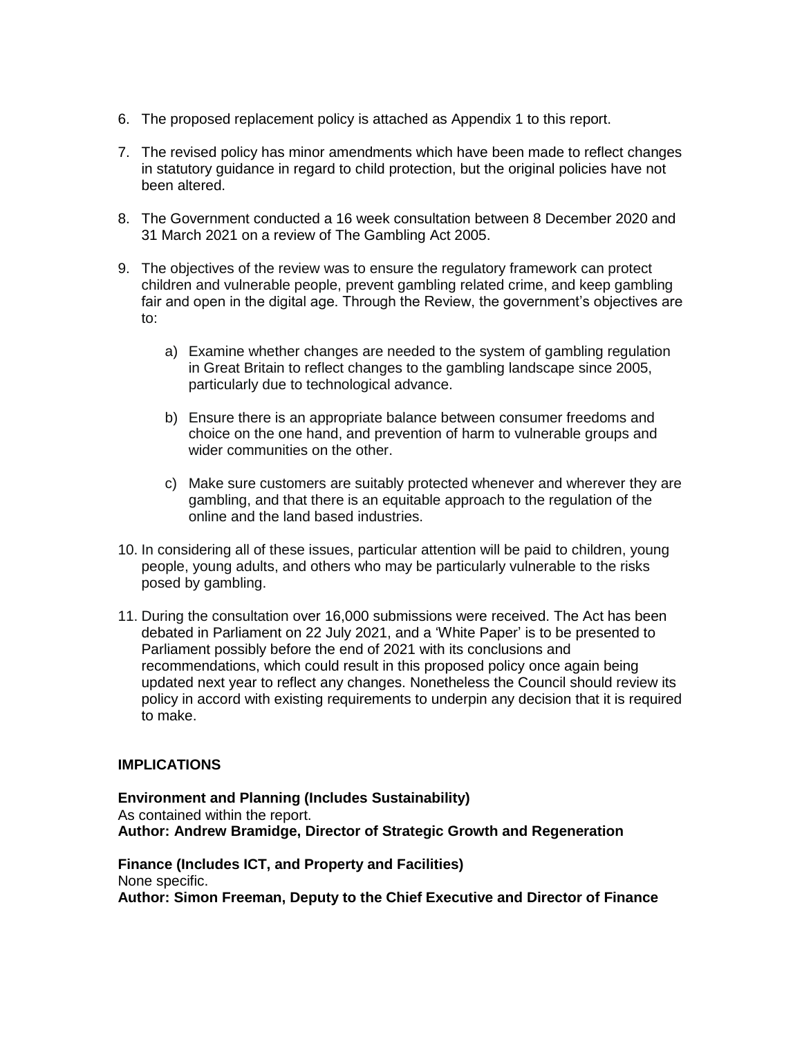- 6. The proposed replacement policy is attached as Appendix 1 to this report.
- 7. The revised policy has minor amendments which have been made to reflect changes in statutory guidance in regard to child protection, but the original policies have not been altered.
- 8. The Government conducted a 16 week consultation between 8 December 2020 and 31 March 2021 on a review of The Gambling Act 2005.
- 9. The objectives of the review was to ensure the regulatory framework can protect children and vulnerable people, prevent gambling related crime, and keep gambling fair and open in the digital age. Through the Review, the government's objectives are to:
	- a) Examine whether changes are needed to the system of gambling regulation in Great Britain to reflect changes to the gambling landscape since 2005, particularly due to technological advance.
	- b) Ensure there is an appropriate balance between consumer freedoms and choice on the one hand, and prevention of harm to vulnerable groups and wider communities on the other.
	- c) Make sure customers are suitably protected whenever and wherever they are gambling, and that there is an equitable approach to the regulation of the online and the land based industries.
- 10. In considering all of these issues, particular attention will be paid to children, young people, young adults, and others who may be particularly vulnerable to the risks posed by gambling.
- 11. During the consultation over 16,000 submissions were received. The Act has been debated in Parliament on 22 July 2021, and a 'White Paper' is to be presented to Parliament possibly before the end of 2021 with its conclusions and recommendations, which could result in this proposed policy once again being updated next year to reflect any changes. Nonetheless the Council should review its policy in accord with existing requirements to underpin any decision that it is required to make.

# **IMPLICATIONS**

**Environment and Planning (Includes Sustainability)** As contained within the report. **Author: Andrew Bramidge, Director of Strategic Growth and Regeneration**

**Finance (Includes ICT, and Property and Facilities)** None specific. **Author: Simon Freeman, Deputy to the Chief Executive and Director of Finance**